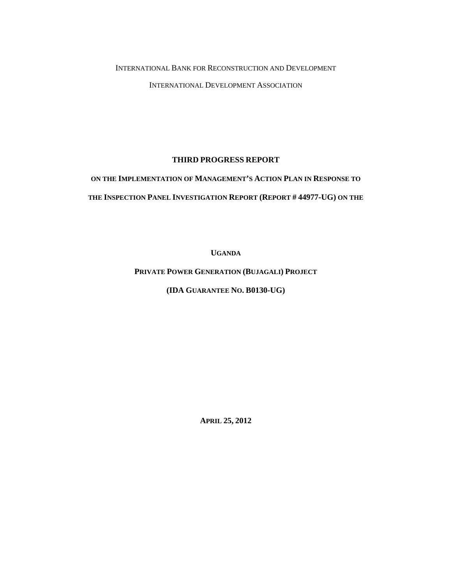#### INTERNATIONAL BANK FOR RECONSTRUCTION AND DEVELOPMENT

INTERNATIONAL DEVELOPMENT ASSOCIATION

### **THIRD PROGRESS REPORT**

# **ON THE IMPLEMENTATION OF MANAGEMENT'S ACTION PLAN IN RESPONSE TO THE INSPECTION PANEL INVESTIGATION REPORT (REPORT # 44977-UG) ON THE**

**UGANDA** 

**PRIVATE POWER GENERATION (BUJAGALI) PROJECT**

**(IDA GUARANTEE NO. B0130-UG)** 

**APRIL 25, 2012**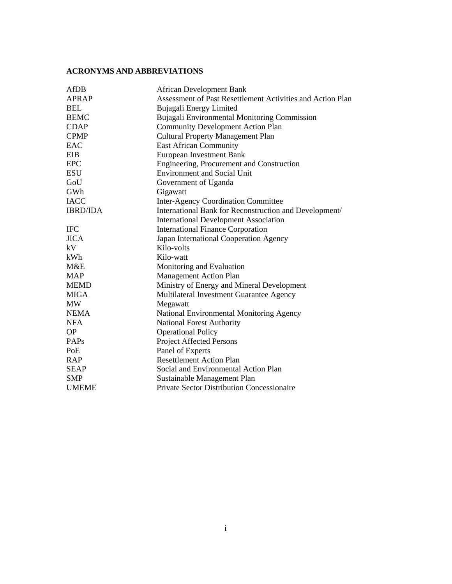# **ACRONYMS AND ABBREVIATIONS**

| <b>AfDB</b>     | <b>African Development Bank</b>                            |  |
|-----------------|------------------------------------------------------------|--|
| <b>APRAP</b>    | Assessment of Past Resettlement Activities and Action Plan |  |
| <b>BEL</b>      | Bujagali Energy Limited                                    |  |
| <b>BEMC</b>     | Bujagali Environmental Monitoring Commission               |  |
| <b>CDAP</b>     | <b>Community Development Action Plan</b>                   |  |
| <b>CPMP</b>     | <b>Cultural Property Management Plan</b>                   |  |
| EAC             | <b>East African Community</b>                              |  |
| EIB             | <b>European Investment Bank</b>                            |  |
| <b>EPC</b>      | Engineering, Procurement and Construction                  |  |
| ESU             | <b>Environment and Social Unit</b>                         |  |
| GoU             | Government of Uganda                                       |  |
| GWh             | Gigawatt                                                   |  |
| <b>IACC</b>     | <b>Inter-Agency Coordination Committee</b>                 |  |
| <b>IBRD/IDA</b> | International Bank for Reconstruction and Development/     |  |
|                 | <b>International Development Association</b>               |  |
| <b>IFC</b>      | <b>International Finance Corporation</b>                   |  |
| <b>JICA</b>     | Japan International Cooperation Agency                     |  |
| kV              | Kilo-volts                                                 |  |
| kWh             | Kilo-watt                                                  |  |
| M&E             | Monitoring and Evaluation                                  |  |
| <b>MAP</b>      | <b>Management Action Plan</b>                              |  |
| <b>MEMD</b>     | Ministry of Energy and Mineral Development                 |  |
| <b>MIGA</b>     | Multilateral Investment Guarantee Agency                   |  |
| <b>MW</b>       | Megawatt                                                   |  |
| <b>NEMA</b>     | National Environmental Monitoring Agency                   |  |
| <b>NFA</b>      | <b>National Forest Authority</b>                           |  |
| <b>OP</b>       | <b>Operational Policy</b>                                  |  |
| PAPs            | <b>Project Affected Persons</b>                            |  |
| PoE             | Panel of Experts                                           |  |
| <b>RAP</b>      | <b>Resettlement Action Plan</b>                            |  |
| <b>SEAP</b>     | Social and Environmental Action Plan                       |  |
| <b>SMP</b>      | Sustainable Management Plan                                |  |
| <b>UMEME</b>    | <b>Private Sector Distribution Concessionaire</b>          |  |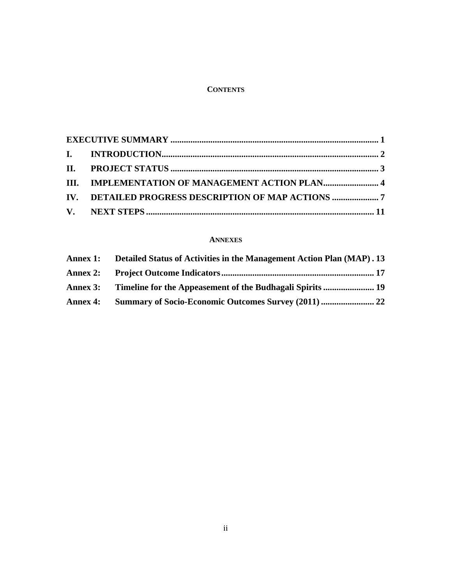### **CONTENTS**

| III. IMPLEMENTATION OF MANAGEMENT ACTION PLAN4 |  |
|------------------------------------------------|--|
|                                                |  |
|                                                |  |

### **ANNEXES**

| Annex 1: Detailed Status of Activities in the Management Action Plan (MAP). 13 |  |
|--------------------------------------------------------------------------------|--|
|                                                                                |  |
| Annex 3: Timeline for the Appeasement of the Budhagali Spirits  19             |  |
|                                                                                |  |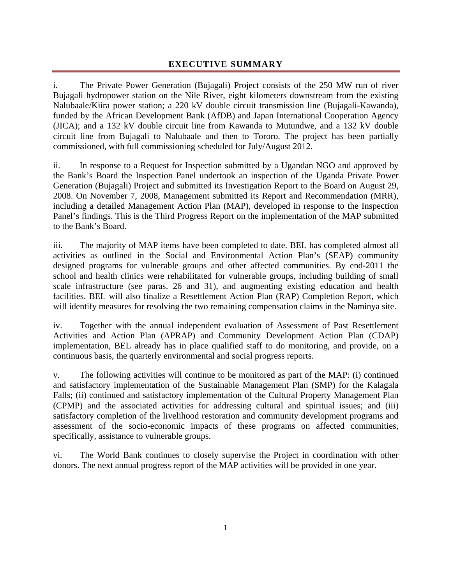# **EXECUTIVE SUMMARY**

i. The Private Power Generation (Bujagali) Project consists of the 250 MW run of river Bujagali hydropower station on the Nile River, eight kilometers downstream from the existing Nalubaale/Kiira power station; a 220 kV double circuit transmission line (Bujagali-Kawanda), funded by the African Development Bank (AfDB) and Japan International Cooperation Agency (JICA); and a 132 kV double circuit line from Kawanda to Mutundwe, and a 132 kV double circuit line from Bujagali to Nalubaale and then to Tororo. The project has been partially commissioned, with full commissioning scheduled for July/August 2012.

ii. In response to a Request for Inspection submitted by a Ugandan NGO and approved by the Bank's Board the Inspection Panel undertook an inspection of the Uganda Private Power Generation (Bujagali) Project and submitted its Investigation Report to the Board on August 29, 2008. On November 7, 2008, Management submitted its Report and Recommendation (MRR), including a detailed Management Action Plan (MAP), developed in response to the Inspection Panel's findings. This is the Third Progress Report on the implementation of the MAP submitted to the Bank's Board.

iii. The majority of MAP items have been completed to date. BEL has completed almost all activities as outlined in the Social and Environmental Action Plan's (SEAP) community designed programs for vulnerable groups and other affected communities. By end-2011 the school and health clinics were rehabilitated for vulnerable groups, including building of small scale infrastructure (see paras. 26 and 31), and augmenting existing education and health facilities. BEL will also finalize a Resettlement Action Plan (RAP) Completion Report, which will identify measures for resolving the two remaining compensation claims in the Naminya site.

iv. Together with the annual independent evaluation of Assessment of Past Resettlement Activities and Action Plan (APRAP) and Community Development Action Plan (CDAP) implementation, BEL already has in place qualified staff to do monitoring, and provide, on a continuous basis, the quarterly environmental and social progress reports.

v. The following activities will continue to be monitored as part of the MAP: (i) continued and satisfactory implementation of the Sustainable Management Plan (SMP) for the Kalagala Falls; (ii) continued and satisfactory implementation of the Cultural Property Management Plan (CPMP) and the associated activities for addressing cultural and spiritual issues; and (iii) satisfactory completion of the livelihood restoration and community development programs and assessment of the socio-economic impacts of these programs on affected communities, specifically, assistance to vulnerable groups.

vi. The World Bank continues to closely supervise the Project in coordination with other donors. The next annual progress report of the MAP activities will be provided in one year.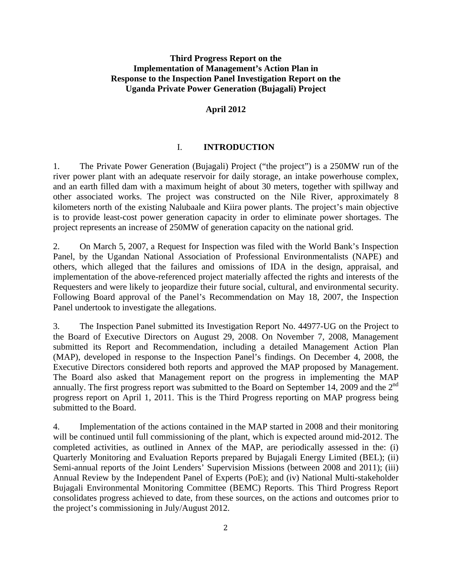# **Third Progress Report on the Implementation of Management's Action Plan in Response to the Inspection Panel Investigation Report on the Uganda Private Power Generation (Bujagali) Project**

#### **April 2012**

# I. **INTRODUCTION**

1. The Private Power Generation (Bujagali) Project ("the project") is a 250MW run of the river power plant with an adequate reservoir for daily storage, an intake powerhouse complex, and an earth filled dam with a maximum height of about 30 meters, together with spillway and other associated works. The project was constructed on the Nile River, approximately 8 kilometers north of the existing Nalubaale and Kiira power plants. The project's main objective is to provide least-cost power generation capacity in order to eliminate power shortages. The project represents an increase of 250MW of generation capacity on the national grid.

2. On March 5, 2007, a Request for Inspection was filed with the World Bank's Inspection Panel, by the Ugandan National Association of Professional Environmentalists (NAPE) and others, which alleged that the failures and omissions of IDA in the design, appraisal, and implementation of the above-referenced project materially affected the rights and interests of the Requesters and were likely to jeopardize their future social, cultural, and environmental security. Following Board approval of the Panel's Recommendation on May 18, 2007, the Inspection Panel undertook to investigate the allegations.

3. The Inspection Panel submitted its Investigation Report No. 44977-UG on the Project to the Board of Executive Directors on August 29, 2008. On November 7, 2008, Management submitted its Report and Recommendation, including a detailed Management Action Plan (MAP), developed in response to the Inspection Panel's findings. On December 4, 2008, the Executive Directors considered both reports and approved the MAP proposed by Management. The Board also asked that Management report on the progress in implementing the MAP annually. The first progress report was submitted to the Board on September 14, 2009 and the  $2<sup>nd</sup>$ progress report on April 1, 2011. This is the Third Progress reporting on MAP progress being submitted to the Board.

4. Implementation of the actions contained in the MAP started in 2008 and their monitoring will be continued until full commissioning of the plant, which is expected around mid-2012. The completed activities, as outlined in Annex of the MAP, are periodically assessed in the: (i) Quarterly Monitoring and Evaluation Reports prepared by Bujagali Energy Limited (BEL); (ii) Semi-annual reports of the Joint Lenders' Supervision Missions (between 2008 and 2011); (iii) Annual Review by the Independent Panel of Experts (PoE); and (iv) National Multi-stakeholder Bujagali Environmental Monitoring Committee (BEMC) Reports. This Third Progress Report consolidates progress achieved to date, from these sources, on the actions and outcomes prior to the project's commissioning in July/August 2012.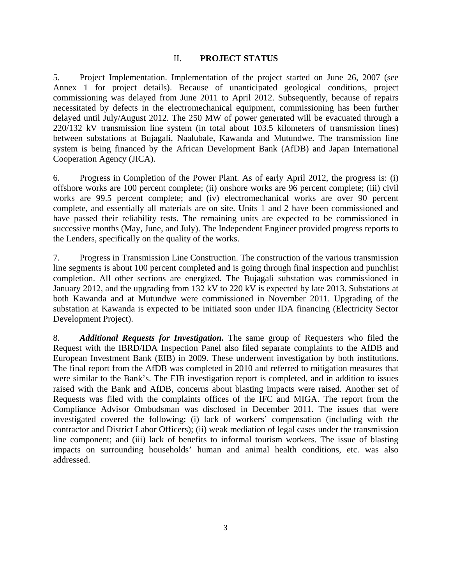#### II. **PROJECT STATUS**

5. Project Implementation. Implementation of the project started on June 26, 2007 (see Annex 1 for project details). Because of unanticipated geological conditions, project commissioning was delayed from June 2011 to April 2012. Subsequently, because of repairs necessitated by defects in the electromechanical equipment, commissioning has been further delayed until July/August 2012. The 250 MW of power generated will be evacuated through a 220/132 kV transmission line system (in total about 103.5 kilometers of transmission lines) between substations at Bujagali, Naalubale, Kawanda and Mutundwe. The transmission line system is being financed by the African Development Bank (AfDB) and Japan International Cooperation Agency (JICA).

6. Progress in Completion of the Power Plant. As of early April 2012, the progress is: (i) offshore works are 100 percent complete; (ii) onshore works are 96 percent complete; (iii) civil works are 99.5 percent complete; and (iv) electromechanical works are over 90 percent complete, and essentially all materials are on site. Units 1 and 2 have been commissioned and have passed their reliability tests. The remaining units are expected to be commissioned in successive months (May, June, and July). The Independent Engineer provided progress reports to the Lenders, specifically on the quality of the works.

7. Progress in Transmission Line Construction. The construction of the various transmission line segments is about 100 percent completed and is going through final inspection and punchlist completion. All other sections are energized. The Bujagali substation was commissioned in January 2012, and the upgrading from 132 kV to 220 kV is expected by late 2013. Substations at both Kawanda and at Mutundwe were commissioned in November 2011. Upgrading of the substation at Kawanda is expected to be initiated soon under IDA financing (Electricity Sector Development Project).

8. *Additional Requests for Investigation.* The same group of Requesters who filed the Request with the IBRD/IDA Inspection Panel also filed separate complaints to the AfDB and European Investment Bank (EIB) in 2009. These underwent investigation by both institutions. The final report from the AfDB was completed in 2010 and referred to mitigation measures that were similar to the Bank's. The EIB investigation report is completed, and in addition to issues raised with the Bank and AfDB, concerns about blasting impacts were raised. Another set of Requests was filed with the complaints offices of the IFC and MIGA. The report from the Compliance Advisor Ombudsman was disclosed in December 2011. The issues that were investigated covered the following: (i) lack of workers' compensation (including with the contractor and District Labor Officers); (ii) weak mediation of legal cases under the transmission line component; and (iii) lack of benefits to informal tourism workers. The issue of blasting impacts on surrounding households' human and animal health conditions, etc. was also addressed.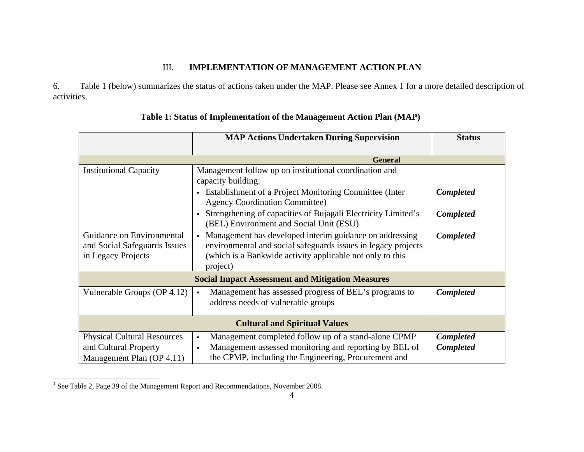#### III.**IMPLEMENTATION OF MANAGEMENT ACTION PLAN**

6. Table 1 (below) summarizes the status of actions taken under the MAP. Please see Annex 1 for a more detailed description of activities.

|                                                                                          | <b>MAP Actions Undertaken During Supervision</b>                                                                                                                                                                  | <b>Status</b>                        |
|------------------------------------------------------------------------------------------|-------------------------------------------------------------------------------------------------------------------------------------------------------------------------------------------------------------------|--------------------------------------|
|                                                                                          | <b>General</b>                                                                                                                                                                                                    |                                      |
| <b>Institutional Capacity</b>                                                            | Management follow up on institutional coordination and<br>capacity building:                                                                                                                                      |                                      |
|                                                                                          | • Establishment of a Project Monitoring Committee (Inter<br><b>Agency Coordination Committee)</b>                                                                                                                 | <b>Completed</b>                     |
|                                                                                          | Strengthening of capacities of Bujagali Electricity Limited's<br>(BEL) Environment and Social Unit (ESU)                                                                                                          | <b>Completed</b>                     |
| Guidance on Environmental<br>and Social Safeguards Issues<br>in Legacy Projects          | Management has developed interim guidance on addressing<br>$\mathbf{u}$<br>environmental and social safeguards issues in legacy projects<br>(which is a Bankwide activity applicable not only to this<br>project) | Completed                            |
| <b>Social Impact Assessment and Mitigation Measures</b>                                  |                                                                                                                                                                                                                   |                                      |
| Vulnerable Groups (OP 4.12)                                                              | Management has assessed progress of BEL's programs to<br>$\blacksquare$<br>address needs of vulnerable groups                                                                                                     | <b>Completed</b>                     |
| <b>Cultural and Spiritual Values</b>                                                     |                                                                                                                                                                                                                   |                                      |
| <b>Physical Cultural Resources</b><br>and Cultural Property<br>Management Plan (OP 4.11) | Management completed follow up of a stand-alone CPMP<br>$\blacksquare$<br>Management assessed monitoring and reporting by BEL of<br>$\blacksquare$<br>the CPMP, including the Engineering, Procurement and        | <b>Completed</b><br><b>Completed</b> |

# **Table 1: Status of Implementation of the Management Action Plan (MAP)**

<sup>&</sup>lt;sup>1</sup> See Table 2, Page 39 of the Management Report and Recommendations, November 2008.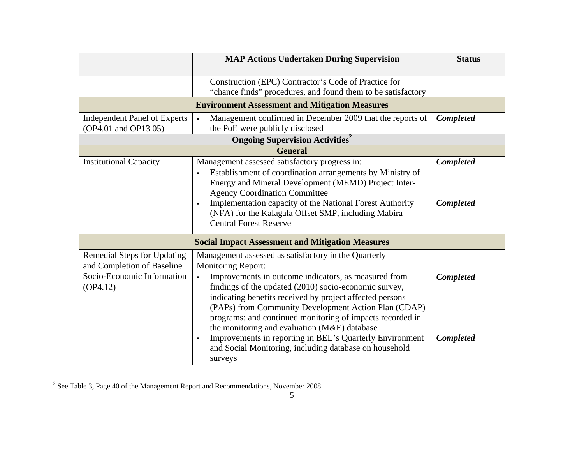|                                     | <b>MAP Actions Undertaken During Supervision</b>                                     | <b>Status</b>    |
|-------------------------------------|--------------------------------------------------------------------------------------|------------------|
|                                     |                                                                                      |                  |
|                                     | Construction (EPC) Contractor's Code of Practice for                                 |                  |
|                                     | "chance finds" procedures, and found them to be satisfactory                         |                  |
|                                     | <b>Environment Assessment and Mitigation Measures</b>                                |                  |
| <b>Independent Panel of Experts</b> | Management confirmed in December 2009 that the reports of<br>$\bullet$               | <b>Completed</b> |
| (OP4.01 and OP13.05)                | the PoE were publicly disclosed                                                      |                  |
|                                     | <b>Ongoing Supervision Activities<sup>2</sup></b>                                    |                  |
|                                     | <b>General</b>                                                                       |                  |
| <b>Institutional Capacity</b>       | Management assessed satisfactory progress in:                                        | <b>Completed</b> |
|                                     | Establishment of coordination arrangements by Ministry of<br>$\blacksquare$          |                  |
|                                     | Energy and Mineral Development (MEMD) Project Inter-                                 |                  |
|                                     | <b>Agency Coordination Committee</b>                                                 |                  |
|                                     | Implementation capacity of the National Forest Authority                             | <b>Completed</b> |
|                                     | (NFA) for the Kalagala Offset SMP, including Mabira<br><b>Central Forest Reserve</b> |                  |
|                                     |                                                                                      |                  |
|                                     | <b>Social Impact Assessment and Mitigation Measures</b>                              |                  |
| Remedial Steps for Updating         | Management assessed as satisfactory in the Quarterly                                 |                  |
| and Completion of Baseline          | <b>Monitoring Report:</b>                                                            |                  |
| Socio-Economic Information          | Improvements in outcome indicators, as measured from<br>$\blacksquare$               | <b>Completed</b> |
| OP4.12)                             | findings of the updated (2010) socio-economic survey,                                |                  |
|                                     | indicating benefits received by project affected persons                             |                  |
|                                     | (PAPs) from Community Development Action Plan (CDAP)                                 |                  |
|                                     | programs; and continued monitoring of impacts recorded in                            |                  |
|                                     | the monitoring and evaluation (M&E) database                                         |                  |
|                                     | Improvements in reporting in BEL's Quarterly Environment<br>٠                        | <b>Completed</b> |
|                                     | and Social Monitoring, including database on household                               |                  |
|                                     | surveys                                                                              |                  |

<sup>&</sup>lt;sup>2</sup> See Table 3, Page 40 of the Management Report and Recommendations, November 2008.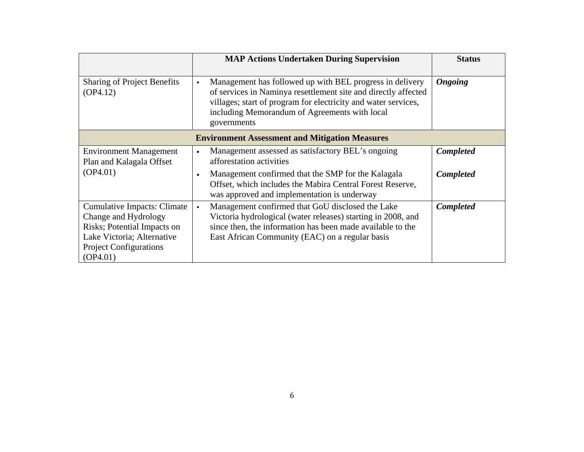|                                                                                                                                                                      | <b>MAP Actions Undertaken During Supervision</b>                                                                                                                                                                                                                               | <b>Status</b>    |
|----------------------------------------------------------------------------------------------------------------------------------------------------------------------|--------------------------------------------------------------------------------------------------------------------------------------------------------------------------------------------------------------------------------------------------------------------------------|------------------|
| <b>Sharing of Project Benefits</b><br>OP4.12)                                                                                                                        | Management has followed up with BEL progress in delivery<br>$\blacksquare$<br>of services in Naminya resettlement site and directly affected<br>villages; start of program for electricity and water services,<br>including Memorandum of Agreements with local<br>governments | <b>Ongoing</b>   |
|                                                                                                                                                                      | <b>Environment Assessment and Mitigation Measures</b>                                                                                                                                                                                                                          |                  |
| <b>Environment Management</b><br>Plan and Kalagala Offset                                                                                                            | Management assessed as satisfactory BEL's ongoing<br>$\bullet$<br>afforestation activities                                                                                                                                                                                     | Completed        |
| (OP4.01)                                                                                                                                                             | Management confirmed that the SMP for the Kalagala<br>$\bullet$<br>Offset, which includes the Mabira Central Forest Reserve,<br>was approved and implementation is underway                                                                                                    | <b>Completed</b> |
| <b>Cumulative Impacts: Climate</b><br>Change and Hydrology<br>Risks; Potential Impacts on<br>Lake Victoria; Alternative<br><b>Project Configurations</b><br>(OP4.01) | Management confirmed that GoU disclosed the Lake<br>$\blacksquare$<br>Victoria hydrological (water releases) starting in 2008, and<br>since then, the information has been made available to the<br>East African Community (EAC) on a regular basis                            | Completed        |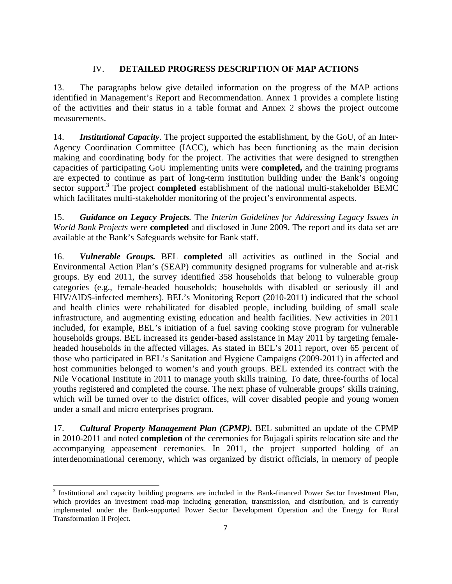# IV. **DETAILED PROGRESS DESCRIPTION OF MAP ACTIONS**

13. The paragraphs below give detailed information on the progress of the MAP actions identified in Management's Report and Recommendation. Annex 1 provides a complete listing of the activities and their status in a table format and Annex 2 shows the project outcome measurements.

14. *Institutional Capacity.* The project supported the establishment, by the GoU, of an Inter-Agency Coordination Committee (IACC), which has been functioning as the main decision making and coordinating body for the project. The activities that were designed to strengthen capacities of participating GoU implementing units were **completed,** and the training programs are expected to continue as part of long-term institution building under the Bank's ongoing sector support.<sup>3</sup> The project **completed** establishment of the national multi-stakeholder BEMC which facilitates multi-stakeholder monitoring of the project's environmental aspects.

15. *Guidance on Legacy Projects.* The *Interim Guidelines for Addressing Legacy Issues in World Bank Projects* were **completed** and disclosed in June 2009. The report and its data set are available at the Bank's Safeguards website for Bank staff.

16. *Vulnerable Groups.* BEL **completed** all activities as outlined in the Social and Environmental Action Plan's (SEAP) community designed programs for vulnerable and at-risk groups. By end 2011, the survey identified 358 households that belong to vulnerable group categories (e.g., female-headed households; households with disabled or seriously ill and HIV/AIDS-infected members). BEL's Monitoring Report (2010-2011) indicated that the school and health clinics were rehabilitated for disabled people, including building of small scale infrastructure, and augmenting existing education and health facilities. New activities in 2011 included, for example, BEL's initiation of a fuel saving cooking stove program for vulnerable households groups. BEL increased its gender-based assistance in May 2011 by targeting femaleheaded households in the affected villages. As stated in BEL's 2011 report, over 65 percent of those who participated in BEL's Sanitation and Hygiene Campaigns (2009-2011) in affected and host communities belonged to women's and youth groups. BEL extended its contract with the Nile Vocational Institute in 2011 to manage youth skills training. To date, three-fourths of local youths registered and completed the course. The next phase of vulnerable groups' skills training, which will be turned over to the district offices, will cover disabled people and young women under a small and micro enterprises program.

17. *Cultural Property Management Plan (CPMP).* BEL submitted an update of the CPMP in 2010-2011 and noted **completion** of the ceremonies for Bujagali spirits relocation site and the accompanying appeasement ceremonies. In 2011, the project supported holding of an interdenominational ceremony, which was organized by district officials, in memory of people

<sup>&</sup>lt;u> 1989 - Johann Stein, marwolaethau a bh</u> <sup>3</sup> Institutional and capacity building programs are included in the Bank-financed Power Sector Investment Plan, which provides an investment road-map including generation, transmission, and distribution, and is currently implemented under the Bank-supported Power Sector Development Operation and the Energy for Rural Transformation II Project.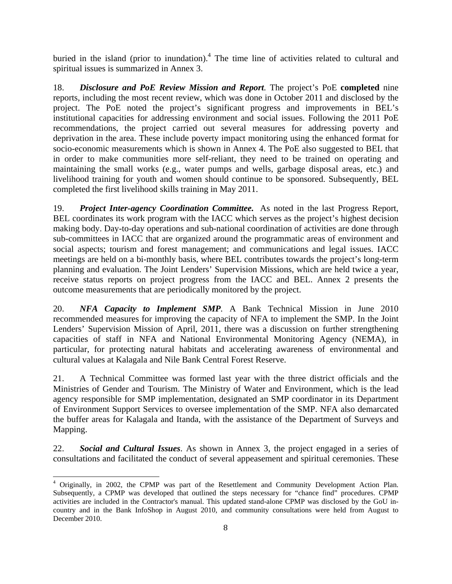buried in the island (prior to inundation).<sup>4</sup> The time line of activities related to cultural and spiritual issues is summarized in Annex 3.

18. *Disclosure and PoE Review Mission and Report.* The project's PoE **completed** nine reports, including the most recent review, which was done in October 2011 and disclosed by the project. The PoE noted the project's significant progress and improvements in BEL's institutional capacities for addressing environment and social issues. Following the 2011 PoE recommendations, the project carried out several measures for addressing poverty and deprivation in the area. These include poverty impact monitoring using the enhanced format for socio-economic measurements which is shown in Annex 4. The PoE also suggested to BEL that in order to make communities more self-reliant, they need to be trained on operating and maintaining the small works (e.g., water pumps and wells, garbage disposal areas, etc.) and livelihood training for youth and women should continue to be sponsored. Subsequently, BEL completed the first livelihood skills training in May 2011.

19. *Project Inter-agency Coordination Committee.*As noted in the last Progress Report, BEL coordinates its work program with the IACC which serves as the project's highest decision making body. Day-to-day operations and sub-national coordination of activities are done through sub-committees in IACC that are organized around the programmatic areas of environment and social aspects; tourism and forest management; and communications and legal issues. IACC meetings are held on a bi-monthly basis, where BEL contributes towards the project's long-term planning and evaluation. The Joint Lenders' Supervision Missions, which are held twice a year, receive status reports on project progress from the IACC and BEL. Annex 2 presents the outcome measurements that are periodically monitored by the project.

20. *NFA Capacity to Implement SMP.* A Bank Technical Mission in June 2010 recommended measures for improving the capacity of NFA to implement the SMP. In the Joint Lenders' Supervision Mission of April, 2011, there was a discussion on further strengthening capacities of staff in NFA and National Environmental Monitoring Agency (NEMA), in particular, for protecting natural habitats and accelerating awareness of environmental and cultural values at Kalagala and Nile Bank Central Forest Reserve.

21. A Technical Committee was formed last year with the three district officials and the Ministries of Gender and Tourism. The Ministry of Water and Environment, which is the lead agency responsible for SMP implementation, designated an SMP coordinator in its Department of Environment Support Services to oversee implementation of the SMP. NFA also demarcated the buffer areas for Kalagala and Itanda, with the assistance of the Department of Surveys and Mapping.

22. *Social and Cultural Issues*. As shown in Annex 3, the project engaged in a series of consultations and facilitated the conduct of several appeasement and spiritual ceremonies. These

<sup>&</sup>lt;sup>4</sup> Originally, in 2002, the CPMP was part of the Resettlement and Community Development Action Plan. Subsequently, a CPMP was developed that outlined the steps necessary for "chance find" procedures. CPMP activities are included in the Contractor's manual. This updated stand-alone CPMP was disclosed by the GoU incountry and in the Bank InfoShop in August 2010, and community consultations were held from August to December 2010.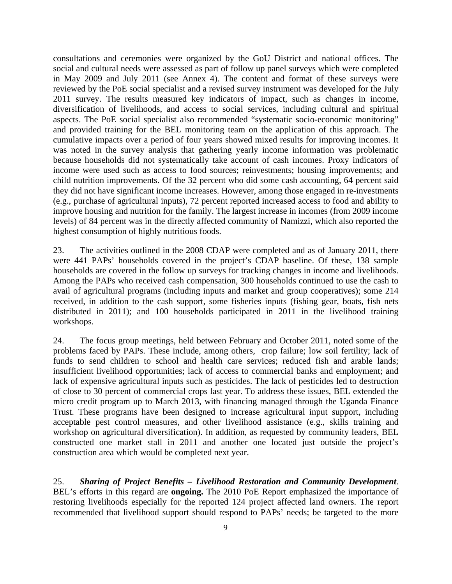consultations and ceremonies were organized by the GoU District and national offices. The social and cultural needs were assessed as part of follow up panel surveys which were completed in May 2009 and July 2011 (see Annex 4). The content and format of these surveys were reviewed by the PoE social specialist and a revised survey instrument was developed for the July 2011 survey. The results measured key indicators of impact, such as changes in income, diversification of livelihoods, and access to social services, including cultural and spiritual aspects. The PoE social specialist also recommended "systematic socio-economic monitoring" and provided training for the BEL monitoring team on the application of this approach. The cumulative impacts over a period of four years showed mixed results for improving incomes. It was noted in the survey analysis that gathering yearly income information was problematic because households did not systematically take account of cash incomes. Proxy indicators of income were used such as access to food sources; reinvestments; housing improvements; and child nutrition improvements. Of the 32 percent who did some cash accounting, 64 percent said they did not have significant income increases. However, among those engaged in re-investments (e.g., purchase of agricultural inputs), 72 percent reported increased access to food and ability to improve housing and nutrition for the family. The largest increase in incomes (from 2009 income levels) of 84 percent was in the directly affected community of Namizzi, which also reported the highest consumption of highly nutritious foods.

23. The activities outlined in the 2008 CDAP were completed and as of January 2011, there were 441 PAPs' households covered in the project's CDAP baseline. Of these, 138 sample households are covered in the follow up surveys for tracking changes in income and livelihoods. Among the PAPs who received cash compensation, 300 households continued to use the cash to avail of agricultural programs (including inputs and market and group cooperatives); some 214 received, in addition to the cash support, some fisheries inputs (fishing gear, boats, fish nets distributed in 2011); and 100 households participated in 2011 in the livelihood training workshops.

24. The focus group meetings, held between February and October 2011, noted some of the problems faced by PAPs. These include, among others, crop failure; low soil fertility; lack of funds to send children to school and health care services; reduced fish and arable lands; insufficient livelihood opportunities; lack of access to commercial banks and employment; and lack of expensive agricultural inputs such as pesticides. The lack of pesticides led to destruction of close to 30 percent of commercial crops last year. To address these issues, BEL extended the micro credit program up to March 2013, with financing managed through the Uganda Finance Trust. These programs have been designed to increase agricultural input support, including acceptable pest control measures, and other livelihood assistance (e.g., skills training and workshop on agricultural diversification). In addition, as requested by community leaders, BEL constructed one market stall in 2011 and another one located just outside the project's construction area which would be completed next year.

25. *Sharing of Project Benefits – Livelihood Restoration and Community Development*. BEL's efforts in this regard are **ongoing.** The 2010 PoE Report emphasized the importance of restoring livelihoods especially for the reported 124 project affected land owners. The report recommended that livelihood support should respond to PAPs' needs; be targeted to the more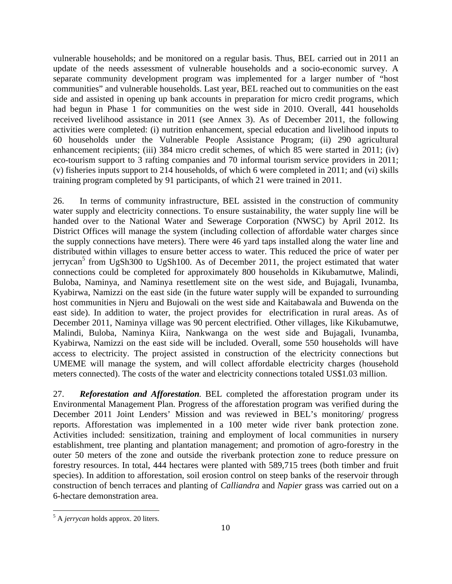vulnerable households; and be monitored on a regular basis. Thus, BEL carried out in 2011 an update of the needs assessment of vulnerable households and a socio-economic survey. A separate community development program was implemented for a larger number of "host communities" and vulnerable households. Last year, BEL reached out to communities on the east side and assisted in opening up bank accounts in preparation for micro credit programs, which had begun in Phase 1 for communities on the west side in 2010. Overall, 441 households received livelihood assistance in 2011 (see Annex 3). As of December 2011, the following activities were completed: (i) nutrition enhancement, special education and livelihood inputs to 60 households under the Vulnerable People Assistance Program; (ii) 290 agricultural enhancement recipients; (iii) 384 micro credit schemes, of which 85 were started in 2011; (iv) eco-tourism support to 3 rafting companies and 70 informal tourism service providers in 2011; (v) fisheries inputs support to 214 households, of which 6 were completed in 2011; and (vi) skills training program completed by 91 participants, of which 21 were trained in 2011.

26. In terms of community infrastructure, BEL assisted in the construction of community water supply and electricity connections. To ensure sustainability, the water supply line will be handed over to the National Water and Sewerage Corporation (NWSC) by April 2012. Its District Offices will manage the system (including collection of affordable water charges since the supply connections have meters). There were 46 yard taps installed along the water line and distributed within villages to ensure better access to water. This reduced the price of water per jerrycan<sup>5</sup> from UgSh300 to UgSh100. As of December 2011, the project estimated that water connections could be completed for approximately 800 households in Kikubamutwe, Malindi, Buloba, Naminya, and Naminya resettlement site on the west side, and Bujagali, Ivunamba, Kyabirwa, Namizzi on the east side (in the future water supply will be expanded to surrounding host communities in Njeru and Bujowali on the west side and Kaitabawala and Buwenda on the east side). In addition to water, the project provides for electrification in rural areas. As of December 2011, Naminya village was 90 percent electrified. Other villages, like Kikubamutwe, Malindi, Buloba, Naminya Kiira, Nankwanga on the west side and Bujagali, Ivunamba, Kyabirwa, Namizzi on the east side will be included. Overall, some 550 households will have access to electricity. The project assisted in construction of the electricity connections but UMEME will manage the system, and will collect affordable electricity charges (household meters connected). The costs of the water and electricity connections totaled US\$1.03 million.

27. *Reforestation and Afforestation.* BEL completed the afforestation program under its Environmental Management Plan. Progress of the afforestation program was verified during the December 2011 Joint Lenders' Mission and was reviewed in BEL's monitoring/ progress reports. Afforestation was implemented in a 100 meter wide river bank protection zone. Activities included: sensitization, training and employment of local communities in nursery establishment, tree planting and plantation management; and promotion of agro-forestry in the outer 50 meters of the zone and outside the riverbank protection zone to reduce pressure on forestry resources. In total, 444 hectares were planted with 589,715 trees (both timber and fruit species). In addition to afforestation, soil erosion control on steep banks of the reservoir through construction of bench terraces and planting of *Calliandra* and *Napier* grass was carried out on a 6-hectare demonstration area.

<sup>&</sup>lt;u> 1989 - Johann Stein, marwolaethau a bh</u> 5 A *jerrycan* holds approx. 20 liters.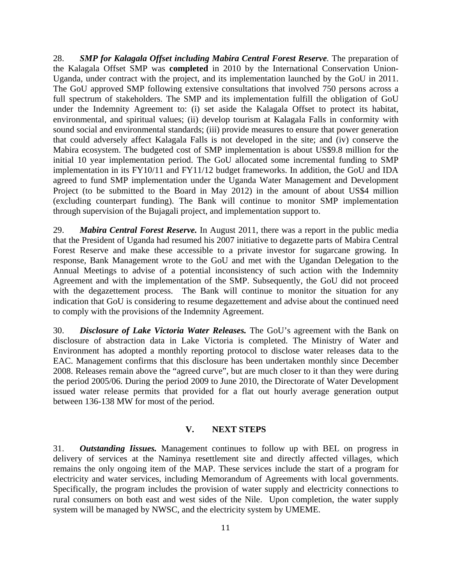28. *SMP for Kalagala Offset including Mabira Central Forest Reserve.* The preparation of the Kalagala Offset SMP was **completed** in 2010 by the International Conservation Union-Uganda, under contract with the project, and its implementation launched by the GoU in 2011. The GoU approved SMP following extensive consultations that involved 750 persons across a full spectrum of stakeholders. The SMP and its implementation fulfill the obligation of GoU under the Indemnity Agreement to: (i) set aside the Kalagala Offset to protect its habitat, environmental, and spiritual values; (ii) develop tourism at Kalagala Falls in conformity with sound social and environmental standards; (iii) provide measures to ensure that power generation that could adversely affect Kalagala Falls is not developed in the site; and (iv) conserve the Mabira ecosystem. The budgeted cost of SMP implementation is about US\$9.8 million for the initial 10 year implementation period. The GoU allocated some incremental funding to SMP implementation in its FY10/11 and FY11/12 budget frameworks. In addition, the GoU and IDA agreed to fund SMP implementation under the Uganda Water Management and Development Project (to be submitted to the Board in May 2012) in the amount of about US\$4 million (excluding counterpart funding). The Bank will continue to monitor SMP implementation through supervision of the Bujagali project, and implementation support to.

29. *Mabira Central Forest Reserve.* In August 2011, there was a report in the public media that the President of Uganda had resumed his 2007 initiative to degazette parts of Mabira Central Forest Reserve and make these accessible to a private investor for sugarcane growing. In response, Bank Management wrote to the GoU and met with the Ugandan Delegation to the Annual Meetings to advise of a potential inconsistency of such action with the Indemnity Agreement and with the implementation of the SMP. Subsequently, the GoU did not proceed with the degazettement process. The Bank will continue to monitor the situation for any indication that GoU is considering to resume degazettement and advise about the continued need to comply with the provisions of the Indemnity Agreement.

30. *Disclosure of Lake Victoria Water Releases.* The GoU's agreement with the Bank on disclosure of abstraction data in Lake Victoria is completed. The Ministry of Water and Environment has adopted a monthly reporting protocol to disclose water releases data to the EAC. Management confirms that this disclosure has been undertaken monthly since December 2008. Releases remain above the "agreed curve", but are much closer to it than they were during the period 2005/06. During the period 2009 to June 2010, the Directorate of Water Development issued water release permits that provided for a flat out hourly average generation output between 136-138 MW for most of the period.

#### **V. NEXT STEPS**

31. *Outstanding Iissues.* Management continues to follow up with BEL on progress in delivery of services at the Naminya resettlement site and directly affected villages, which remains the only ongoing item of the MAP. These services include the start of a program for electricity and water services, including Memorandum of Agreements with local governments. Specifically, the program includes the provision of water supply and electricity connections to rural consumers on both east and west sides of the Nile. Upon completion, the water supply system will be managed by NWSC, and the electricity system by UMEME.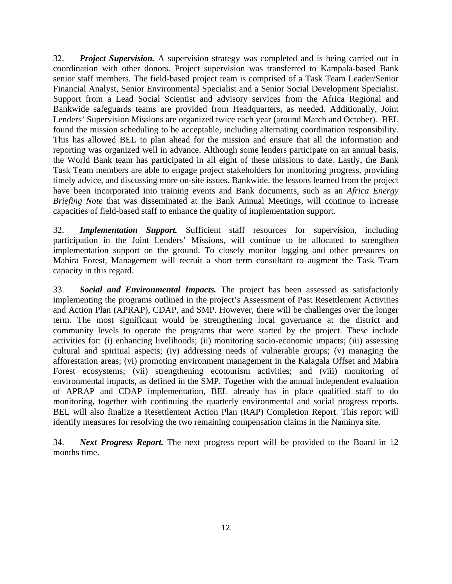32. *Project Supervision.* A supervision strategy was completed and is being carried out in coordination with other donors. Project supervision was transferred to Kampala-based Bank senior staff members. The field-based project team is comprised of a Task Team Leader/Senior Financial Analyst, Senior Environmental Specialist and a Senior Social Development Specialist. Support from a Lead Social Scientist and advisory services from the Africa Regional and Bankwide safeguards teams are provided from Headquarters, as needed. Additionally, Joint Lenders' Supervision Missions are organized twice each year (around March and October). BEL found the mission scheduling to be acceptable, including alternating coordination responsibility. This has allowed BEL to plan ahead for the mission and ensure that all the information and reporting was organized well in advance. Although some lenders participate on an annual basis, the World Bank team has participated in all eight of these missions to date. Lastly, the Bank Task Team members are able to engage project stakeholders for monitoring progress, providing timely advice, and discussing more on-site issues. Bankwide, the lessons learned from the project have been incorporated into training events and Bank documents, such as an *Africa Energy Briefing Note* that was disseminated at the Bank Annual Meetings, will continue to increase capacities of field-based staff to enhance the quality of implementation support.

32. *Implementation Support.* Sufficient staff resources for supervision, including participation in the Joint Lenders' Missions, will continue to be allocated to strengthen implementation support on the ground. To closely monitor logging and other pressures on Mabira Forest, Management will recruit a short term consultant to augment the Task Team capacity in this regard.

33. *Social and Environmental Impacts.* The project has been assessed as satisfactorily implementing the programs outlined in the project's Assessment of Past Resettlement Activities and Action Plan (APRAP), CDAP, and SMP. However, there will be challenges over the longer term. The most significant would be strengthening local governance at the district and community levels to operate the programs that were started by the project. These include activities for: (i) enhancing livelihoods; (ii) monitoring socio-economic impacts; (iii) assessing cultural and spiritual aspects; (iv) addressing needs of vulnerable groups; (v) managing the afforestation areas; (vi) promoting environment management in the Kalagala Offset and Mabira Forest ecosystems; (vii) strengthening ecotourism activities; and (viii) monitoring of environmental impacts, as defined in the SMP. Together with the annual independent evaluation of APRAP and CDAP implementation, BEL already has in place qualified staff to do monitoring, together with continuing the quarterly environmental and social progress reports. BEL will also finalize a Resettlement Action Plan (RAP) Completion Report. This report will identify measures for resolving the two remaining compensation claims in the Naminya site.

34. *Next Progress Report.* The next progress report will be provided to the Board in 12 months time.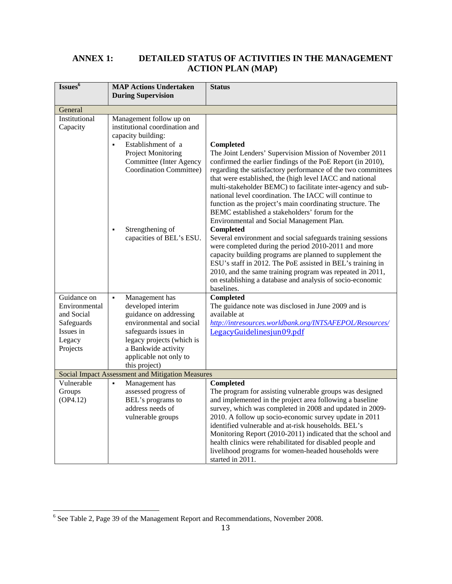# **ANNEX 1: DETAILED STATUS OF ACTIVITIES IN THE MANAGEMENT ACTION PLAN (MAP)**

| Issues <sup>6</sup>                                                                         | <b>MAP Actions Undertaken</b><br><b>During Supervision</b>                                                                                                                                                                         | <b>Status</b>                                                                                                                                                                                                                                                                                                                                                                                                                                                                                                                                         |
|---------------------------------------------------------------------------------------------|------------------------------------------------------------------------------------------------------------------------------------------------------------------------------------------------------------------------------------|-------------------------------------------------------------------------------------------------------------------------------------------------------------------------------------------------------------------------------------------------------------------------------------------------------------------------------------------------------------------------------------------------------------------------------------------------------------------------------------------------------------------------------------------------------|
| General                                                                                     |                                                                                                                                                                                                                                    |                                                                                                                                                                                                                                                                                                                                                                                                                                                                                                                                                       |
| Institutional<br>Capacity                                                                   | Management follow up on<br>institutional coordination and<br>capacity building:<br>Establishment of a<br>$\blacksquare$<br><b>Project Monitoring</b><br><b>Committee (Inter Agency</b><br>Coordination Committee)                  | Completed<br>The Joint Lenders' Supervision Mission of November 2011<br>confirmed the earlier findings of the PoE Report (in 2010),<br>regarding the satisfactory performance of the two committees<br>that were established, the (high level IACC and national<br>multi-stakeholder BEMC) to facilitate inter-agency and sub-<br>national level coordination. The IACC will continue to<br>function as the project's main coordinating structure. The<br>BEMC established a stakeholders' forum for the<br>Environmental and Social Management Plan. |
|                                                                                             | Strengthening of<br>$\blacksquare$<br>capacities of BEL's ESU.                                                                                                                                                                     | <b>Completed</b><br>Several environment and social safeguards training sessions<br>were completed during the period 2010-2011 and more<br>capacity building programs are planned to supplement the<br>ESU's staff in 2012. The PoE assisted in BEL's training in<br>2010, and the same training program was repeated in 2011,<br>on establishing a database and analysis of socio-economic<br>baselines.                                                                                                                                              |
| Guidance on<br>Environmental<br>and Social<br>Safeguards<br>Issues in<br>Legacy<br>Projects | Management has<br>$\blacksquare$<br>developed interim<br>guidance on addressing<br>environmental and social<br>safeguards issues in<br>legacy projects (which is<br>a Bankwide activity<br>applicable not only to<br>this project) | <b>Completed</b><br>The guidance note was disclosed in June 2009 and is<br>available at<br>http://intresources.worldbank.org/INTSAFEPOL/Resources/<br>LegacyGuidelinesjun09.pdf                                                                                                                                                                                                                                                                                                                                                                       |
|                                                                                             | Social Impact Assessment and Mitigation Measures                                                                                                                                                                                   |                                                                                                                                                                                                                                                                                                                                                                                                                                                                                                                                                       |
| Vulnerable<br>Groups<br>(OP4.12)                                                            | Management has<br>assessed progress of<br>BEL's programs to<br>address needs of<br>vulnerable groups                                                                                                                               | <b>Completed</b><br>The program for assisting vulnerable groups was designed<br>and implemented in the project area following a baseline<br>survey, which was completed in 2008 and updated in 2009-<br>2010. A follow up socio-economic survey update in 2011<br>identified vulnerable and at-risk households. BEL's<br>Monitoring Report (2010-2011) indicated that the school and<br>health clinics were rehabilitated for disabled people and<br>livelihood programs for women-headed households were<br>started in 2011.                         |

 6 See Table 2, Page 39 of the Management Report and Recommendations, November 2008.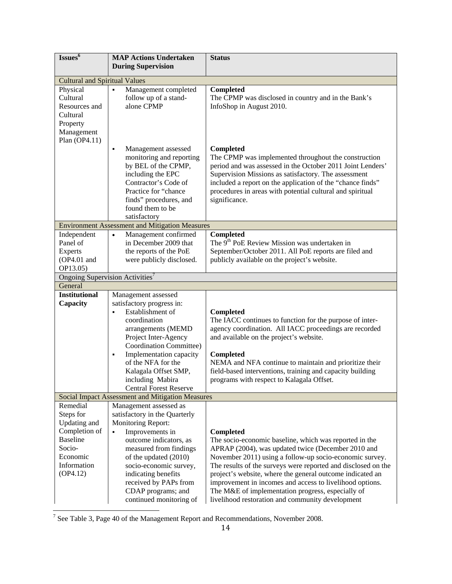| Issues <sup>6</sup>                         | <b>MAP Actions Undertaken</b><br><b>During Supervision</b>            | <b>Status</b>                                                                                         |
|---------------------------------------------|-----------------------------------------------------------------------|-------------------------------------------------------------------------------------------------------|
|                                             |                                                                       |                                                                                                       |
| <b>Cultural and Spiritual Values</b>        |                                                                       |                                                                                                       |
| Physical                                    | Management completed<br>$\blacksquare$                                | <b>Completed</b>                                                                                      |
| Cultural                                    | follow up of a stand-<br>alone CPMP                                   | The CPMP was disclosed in country and in the Bank's                                                   |
| Resources and<br>Cultural                   |                                                                       | InfoShop in August 2010.                                                                              |
| Property                                    |                                                                       |                                                                                                       |
| Management                                  |                                                                       |                                                                                                       |
| Plan $(OP4.11)$                             |                                                                       |                                                                                                       |
|                                             | Management assessed<br>$\blacksquare$                                 | <b>Completed</b>                                                                                      |
|                                             | monitoring and reporting                                              | The CPMP was implemented throughout the construction                                                  |
|                                             | by BEL of the CPMP,                                                   | period and was assessed in the October 2011 Joint Lenders'                                            |
|                                             | including the EPC                                                     | Supervision Missions as satisfactory. The assessment                                                  |
|                                             | Contractor's Code of                                                  | included a report on the application of the "chance finds"                                            |
|                                             | Practice for "chance                                                  | procedures in areas with potential cultural and spiritual                                             |
|                                             | finds" procedures, and                                                | significance.                                                                                         |
|                                             | found them to be                                                      |                                                                                                       |
|                                             | satisfactory<br><b>Environment Assessment and Mitigation Measures</b> |                                                                                                       |
| Independent                                 | Management confirmed<br>$\bullet$                                     | <b>Completed</b>                                                                                      |
| Panel of                                    | in December 2009 that                                                 | The 9 <sup>th</sup> PoE Review Mission was undertaken in                                              |
| <b>Experts</b>                              | the reports of the PoE                                                | September/October 2011. All PoE reports are filed and                                                 |
| (OP4.01 and                                 | were publicly disclosed.                                              | publicly available on the project's website.                                                          |
| OP13.05)                                    |                                                                       |                                                                                                       |
| Ongoing Supervision Activities <sup>7</sup> |                                                                       |                                                                                                       |
| General                                     |                                                                       |                                                                                                       |
| <b>Institutional</b>                        | Management assessed                                                   |                                                                                                       |
| Capacity                                    | satisfactory progress in:                                             |                                                                                                       |
|                                             | Establishment of<br>$\blacksquare$                                    | Completed                                                                                             |
|                                             | coordination                                                          | The IACC continues to function for the purpose of inter-                                              |
|                                             | arrangements (MEMD<br>Project Inter-Agency                            | agency coordination. All IACC proceedings are recorded                                                |
|                                             | Coordination Committee)                                               | and available on the project's website.                                                               |
|                                             | Implementation capacity<br>٠                                          | Completed                                                                                             |
|                                             | of the NFA for the                                                    | NEMA and NFA continue to maintain and prioritize their                                                |
|                                             | Kalagala Offset SMP,                                                  | field-based interventions, training and capacity building                                             |
|                                             | including Mabira                                                      | programs with respect to Kalagala Offset.                                                             |
|                                             | <b>Central Forest Reserve</b>                                         |                                                                                                       |
|                                             | Social Impact Assessment and Mitigation Measures                      |                                                                                                       |
| Remedial                                    | Management assessed as                                                |                                                                                                       |
| Steps for                                   | satisfactory in the Quarterly                                         |                                                                                                       |
| Updating and                                | Monitoring Report:                                                    |                                                                                                       |
| Completion of                               | Improvements in<br>$\blacksquare$                                     | <b>Completed</b>                                                                                      |
| <b>Baseline</b>                             | outcome indicators, as                                                | The socio-economic baseline, which was reported in the                                                |
| Socio-<br>Economic                          | measured from findings                                                | APRAP (2004), was updated twice (December 2010 and                                                    |
|                                             |                                                                       |                                                                                                       |
|                                             | of the updated (2010)                                                 | November 2011) using a follow-up socio-economic survey.                                               |
| Information                                 | socio-economic survey,                                                | The results of the surveys were reported and disclosed on the                                         |
| (OP4.12)                                    | indicating benefits                                                   | project's website, where the general outcome indicated an                                             |
|                                             | received by PAPs from                                                 | improvement in incomes and access to livelihood options.                                              |
|                                             | CDAP programs; and<br>continued monitoring of                         | The M&E of implementation progress, especially of<br>livelihood restoration and community development |

<sup>7</sup> See Table 3, Page 40 of the Management Report and Recommendations, November 2008.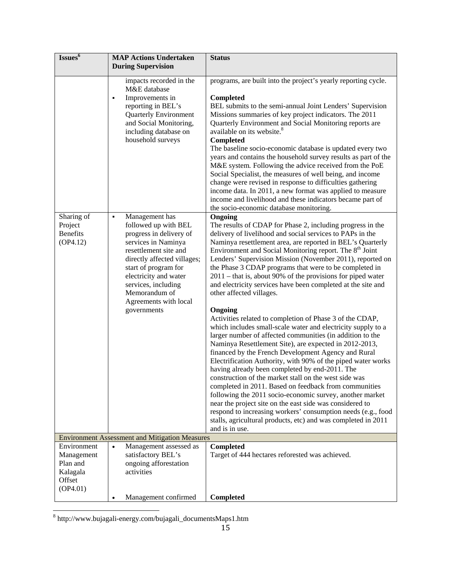| Issues <sup>6</sup>                                                     | <b>MAP Actions Undertaken</b><br><b>During Supervision</b>                                                                                                                                                                                                      | <b>Status</b>                                                                                                                                                                                                                                                                                                                                                                                                                                                                                                                                                                                                                                                                                                                                                                                                                                                                                                                                                                                                                                                                                                                                                                                                                                                                                                                                                                        |
|-------------------------------------------------------------------------|-----------------------------------------------------------------------------------------------------------------------------------------------------------------------------------------------------------------------------------------------------------------|--------------------------------------------------------------------------------------------------------------------------------------------------------------------------------------------------------------------------------------------------------------------------------------------------------------------------------------------------------------------------------------------------------------------------------------------------------------------------------------------------------------------------------------------------------------------------------------------------------------------------------------------------------------------------------------------------------------------------------------------------------------------------------------------------------------------------------------------------------------------------------------------------------------------------------------------------------------------------------------------------------------------------------------------------------------------------------------------------------------------------------------------------------------------------------------------------------------------------------------------------------------------------------------------------------------------------------------------------------------------------------------|
| Sharing of                                                              | impacts recorded in the<br>M&E database<br>Improvements in<br>٠<br>reporting in BEL's<br><b>Quarterly Environment</b><br>and Social Monitoring,<br>including database on<br>household surveys<br>Management has<br>٠                                            | programs, are built into the project's yearly reporting cycle.<br>Completed<br>BEL submits to the semi-annual Joint Lenders' Supervision<br>Missions summaries of key project indicators. The 2011<br>Quarterly Environment and Social Monitoring reports are<br>available on its website. <sup>8</sup><br>Completed<br>The baseline socio-economic database is updated every two<br>years and contains the household survey results as part of the<br>M&E system. Following the advice received from the PoE<br>Social Specialist, the measures of well being, and income<br>change were revised in response to difficulties gathering<br>income data. In 2011, a new format was applied to measure<br>income and livelihood and these indicators became part of<br>the socio-economic database monitoring.<br>Ongoing                                                                                                                                                                                                                                                                                                                                                                                                                                                                                                                                                              |
| Project<br><b>Benefits</b><br>(OP4.12)                                  | followed up with BEL<br>progress in delivery of<br>services in Naminya<br>resettlement site and<br>directly affected villages;<br>start of program for<br>electricity and water<br>services, including<br>Memorandum of<br>Agreements with local<br>governments | The results of CDAP for Phase 2, including progress in the<br>delivery of livelihood and social services to PAPs in the<br>Naminya resettlement area, are reported in BEL's Quarterly<br>Environment and Social Monitoring report. The 8 <sup>th</sup> Joint<br>Lenders' Supervision Mission (November 2011), reported on<br>the Phase 3 CDAP programs that were to be completed in<br>$2011$ – that is, about 90% of the provisions for piped water<br>and electricity services have been completed at the site and<br>other affected villages.<br>Ongoing<br>Activities related to completion of Phase 3 of the CDAP,<br>which includes small-scale water and electricity supply to a<br>larger number of affected communities (in addition to the<br>Naminya Resettlement Site), are expected in 2012-2013,<br>financed by the French Development Agency and Rural<br>Electrification Authority, with 90% of the piped water works<br>having already been completed by end-2011. The<br>construction of the market stall on the west side was<br>completed in 2011. Based on feedback from communities<br>following the 2011 socio-economic survey, another market<br>near the project site on the east side was considered to<br>respond to increasing workers' consumption needs (e.g., food<br>stalls, agricultural products, etc) and was completed in 2011<br>and is in use. |
|                                                                         | <b>Environment Assessment and Mitigation Measures</b>                                                                                                                                                                                                           |                                                                                                                                                                                                                                                                                                                                                                                                                                                                                                                                                                                                                                                                                                                                                                                                                                                                                                                                                                                                                                                                                                                                                                                                                                                                                                                                                                                      |
| Environment<br>Management<br>Plan and<br>Kalagala<br>Offset<br>(OP4.01) | Management assessed as<br>$\bullet$<br>satisfactory BEL's<br>ongoing afforestation<br>activities                                                                                                                                                                | Completed<br>Target of 444 hectares reforested was achieved.                                                                                                                                                                                                                                                                                                                                                                                                                                                                                                                                                                                                                                                                                                                                                                                                                                                                                                                                                                                                                                                                                                                                                                                                                                                                                                                         |
|                                                                         | Management confirmed                                                                                                                                                                                                                                            | Completed                                                                                                                                                                                                                                                                                                                                                                                                                                                                                                                                                                                                                                                                                                                                                                                                                                                                                                                                                                                                                                                                                                                                                                                                                                                                                                                                                                            |

 8 http://www.bujagali-energy.com/bujagali\_documentsMaps1.htm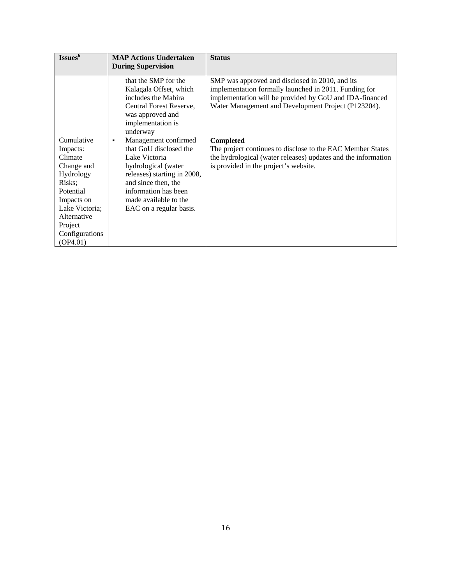| Issues <sup>6</sup>                                                                                                                                                         | <b>MAP Actions Undertaken</b><br><b>During Supervision</b>                                                                                                                                                                    | <b>Status</b>                                                                                                                                                                                                              |
|-----------------------------------------------------------------------------------------------------------------------------------------------------------------------------|-------------------------------------------------------------------------------------------------------------------------------------------------------------------------------------------------------------------------------|----------------------------------------------------------------------------------------------------------------------------------------------------------------------------------------------------------------------------|
|                                                                                                                                                                             |                                                                                                                                                                                                                               |                                                                                                                                                                                                                            |
|                                                                                                                                                                             | that the SMP for the<br>Kalagala Offset, which<br>includes the Mabira<br>Central Forest Reserve,<br>was approved and<br>implementation is<br>underway                                                                         | SMP was approved and disclosed in 2010, and its<br>implementation formally launched in 2011. Funding for<br>implementation will be provided by GoU and IDA-financed<br>Water Management and Development Project (P123204). |
| Cumulative<br>Impacts:<br>Climate<br>Change and<br>Hydrology<br>Risks;<br>Potential<br>Impacts on<br>Lake Victoria;<br>Alternative<br>Project<br>Configurations<br>(OP4.01) | Management confirmed<br>٠<br>that GoU disclosed the<br>Lake Victoria<br>hydrological (water<br>releases) starting in 2008,<br>and since then, the<br>information has been<br>made available to the<br>EAC on a regular basis. | <b>Completed</b><br>The project continues to disclose to the EAC Member States<br>the hydrological (water releases) updates and the information<br>is provided in the project's website.                                   |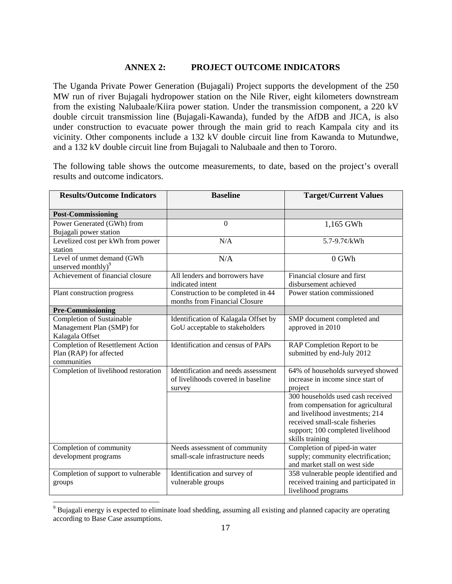# **ANNEX 2: PROJECT OUTCOME INDICATORS**

The Uganda Private Power Generation (Bujagali) Project supports the development of the 250 MW run of river Bujagali hydropower station on the Nile River, eight kilometers downstream from the existing Nalubaale/Kiira power station. Under the transmission component, a 220 kV double circuit transmission line (Bujagali-Kawanda), funded by the AfDB and JICA, is also under construction to evacuate power through the main grid to reach Kampala city and its vicinity. Other components include a 132 kV double circuit line from Kawanda to Mutundwe, and a 132 kV double circuit line from Bujagali to Nalubaale and then to Tororo.

The following table shows the outcome measurements, to date, based on the project's overall results and outcome indicators.

| <b>Results/Outcome Indicators</b>                                                  | <b>Baseline</b>                                                                     | <b>Target/Current Values</b>                                                                                                                                                                         |
|------------------------------------------------------------------------------------|-------------------------------------------------------------------------------------|------------------------------------------------------------------------------------------------------------------------------------------------------------------------------------------------------|
| <b>Post-Commissioning</b>                                                          |                                                                                     |                                                                                                                                                                                                      |
| Power Generated (GWh) from<br>Bujagali power station                               | $\overline{0}$                                                                      | 1,165 GWh                                                                                                                                                                                            |
| Levelized cost per kWh from power<br>station                                       | N/A                                                                                 | 5.7-9.7¢/kWh                                                                                                                                                                                         |
| Level of unmet demand (GWh<br>unserved monthly) <sup>9</sup>                       | N/A                                                                                 | $0$ GWh                                                                                                                                                                                              |
| Achievement of financial closure                                                   | All lenders and borrowers have<br>indicated intent                                  | Financial closure and first<br>disbursement achieved                                                                                                                                                 |
| Plant construction progress                                                        | Construction to be completed in 44<br>months from Financial Closure                 | Power station commissioned                                                                                                                                                                           |
| <b>Pre-Commissioning</b>                                                           |                                                                                     |                                                                                                                                                                                                      |
| Completion of Sustainable<br>Management Plan (SMP) for<br>Kalagala Offset          | Identification of Kalagala Offset by<br>GoU acceptable to stakeholders              | SMP document completed and<br>approved in 2010                                                                                                                                                       |
| <b>Completion of Resettlement Action</b><br>Plan (RAP) for affected<br>communities | Identification and census of PAPs                                                   | RAP Completion Report to be<br>submitted by end-July 2012                                                                                                                                            |
| Completion of livelihood restoration                                               | Identification and needs assessment<br>of livelihoods covered in baseline<br>survey | 64% of households surveyed showed<br>increase in income since start of<br>project                                                                                                                    |
|                                                                                    |                                                                                     | 300 households used cash received<br>from compensation for agricultural<br>and livelihood investments; 214<br>received small-scale fisheries<br>support; 100 completed livelihood<br>skills training |
| Completion of community<br>development programs                                    | Needs assessment of community<br>small-scale infrastructure needs                   | Completion of piped-in water<br>supply; community electrification;<br>and market stall on west side                                                                                                  |
| Completion of support to vulnerable<br>groups                                      | Identification and survey of<br>vulnerable groups                                   | 358 vulnerable people identified and<br>received training and participated in<br>livelihood programs                                                                                                 |

<sup>&</sup>lt;sup>9</sup> Bujagali energy is expected to eliminate load shedding, assuming all existing and planned capacity are operating according to Base Case assumptions.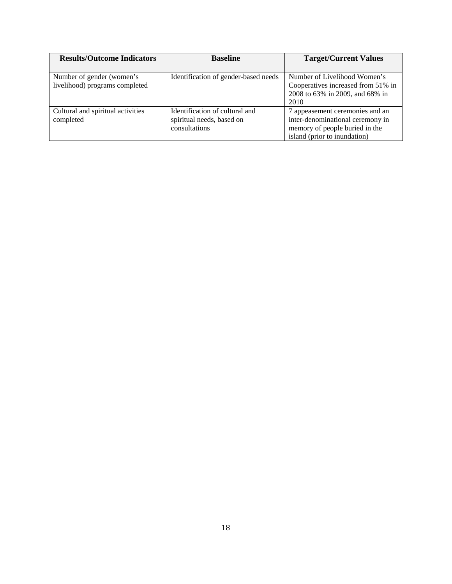| <b>Results/Outcome Indicators</b> | <b>Baseline</b>                      | <b>Target/Current Values</b>       |
|-----------------------------------|--------------------------------------|------------------------------------|
|                                   |                                      |                                    |
| Number of gender (women's         | Identification of gender-based needs | Number of Livelihood Women's       |
| livelihood) programs completed    |                                      | Cooperatives increased from 51% in |
|                                   |                                      | 2008 to 63% in 2009, and 68% in    |
|                                   |                                      | 2010                               |
| Cultural and spiritual activities | Identification of cultural and       | 7 appeasement ceremonies and an    |
| completed                         | spiritual needs, based on            | inter-denominational ceremony in   |
|                                   | consultations                        | memory of people buried in the     |
|                                   |                                      | island (prior to inundation)       |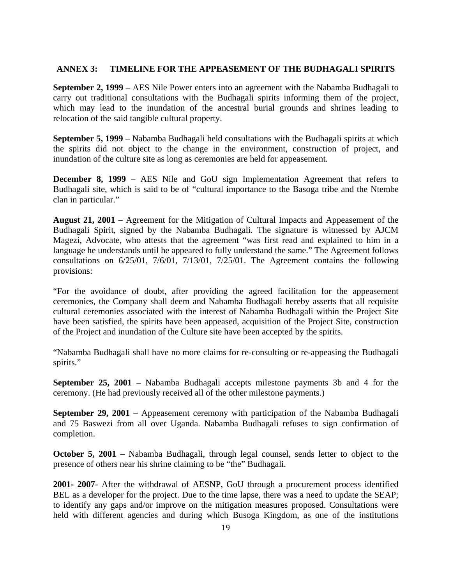#### **ANNEX 3: TIMELINE FOR THE APPEASEMENT OF THE BUDHAGALI SPIRITS**

**September 2, 1999** – AES Nile Power enters into an agreement with the Nabamba Budhagali to carry out traditional consultations with the Budhagali spirits informing them of the project, which may lead to the inundation of the ancestral burial grounds and shrines leading to relocation of the said tangible cultural property.

**September 5, 1999** – Nabamba Budhagali held consultations with the Budhagali spirits at which the spirits did not object to the change in the environment, construction of project, and inundation of the culture site as long as ceremonies are held for appeasement.

**December 8, 1999** – AES Nile and GoU sign Implementation Agreement that refers to Budhagali site, which is said to be of "cultural importance to the Basoga tribe and the Ntembe clan in particular."

**August 21, 2001** – Agreement for the Mitigation of Cultural Impacts and Appeasement of the Budhagali Spirit, signed by the Nabamba Budhagali. The signature is witnessed by AJCM Magezi, Advocate, who attests that the agreement "was first read and explained to him in a language he understands until he appeared to fully understand the same." The Agreement follows consultations on 6/25/01, 7/6/01, 7/13/01, 7/25/01. The Agreement contains the following provisions:

"For the avoidance of doubt, after providing the agreed facilitation for the appeasement ceremonies, the Company shall deem and Nabamba Budhagali hereby asserts that all requisite cultural ceremonies associated with the interest of Nabamba Budhagali within the Project Site have been satisfied, the spirits have been appeased, acquisition of the Project Site, construction of the Project and inundation of the Culture site have been accepted by the spirits.

"Nabamba Budhagali shall have no more claims for re-consulting or re-appeasing the Budhagali spirits."

**September 25, 2001** – Nabamba Budhagali accepts milestone payments 3b and 4 for the ceremony. (He had previously received all of the other milestone payments.)

**September 29, 2001** – Appeasement ceremony with participation of the Nabamba Budhagali and 75 Baswezi from all over Uganda. Nabamba Budhagali refuses to sign confirmation of completion.

**October 5, 2001** – Nabamba Budhagali, through legal counsel, sends letter to object to the presence of others near his shrine claiming to be "the" Budhagali.

**2001- 2007**- After the withdrawal of AESNP, GoU through a procurement process identified BEL as a developer for the project. Due to the time lapse, there was a need to update the SEAP; to identify any gaps and/or improve on the mitigation measures proposed. Consultations were held with different agencies and during which Busoga Kingdom, as one of the institutions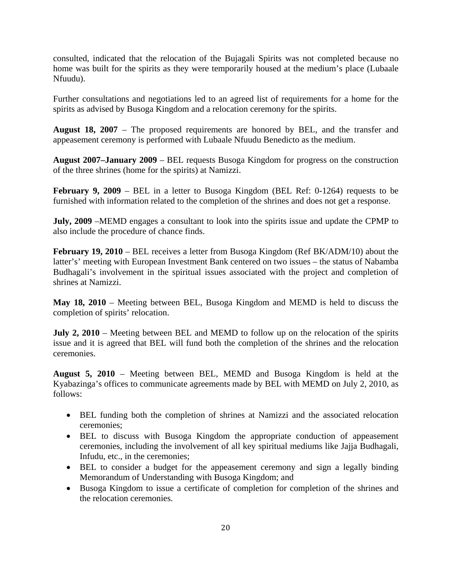consulted, indicated that the relocation of the Bujagali Spirits was not completed because no home was built for the spirits as they were temporarily housed at the medium's place (Lubaale Nfuudu).

Further consultations and negotiations led to an agreed list of requirements for a home for the spirits as advised by Busoga Kingdom and a relocation ceremony for the spirits.

**August 18, 2007** – The proposed requirements are honored by BEL, and the transfer and appeasement ceremony is performed with Lubaale Nfuudu Benedicto as the medium.

**August 2007–January 2009** – BEL requests Busoga Kingdom for progress on the construction of the three shrines (home for the spirits) at Namizzi.

**February 9, 2009** – BEL in a letter to Busoga Kingdom (BEL Ref: 0-1264) requests to be furnished with information related to the completion of the shrines and does not get a response.

**July, 2009** –MEMD engages a consultant to look into the spirits issue and update the CPMP to also include the procedure of chance finds.

February 19, 2010 – BEL receives a letter from Busoga Kingdom (Ref BK/ADM/10) about the latter's' meeting with European Investment Bank centered on two issues – the status of Nabamba Budhagali's involvement in the spiritual issues associated with the project and completion of shrines at Namizzi.

**May 18, 2010** – Meeting between BEL, Busoga Kingdom and MEMD is held to discuss the completion of spirits' relocation.

**July 2, 2010** – Meeting between BEL and MEMD to follow up on the relocation of the spirits issue and it is agreed that BEL will fund both the completion of the shrines and the relocation ceremonies.

**August 5, 2010** – Meeting between BEL, MEMD and Busoga Kingdom is held at the Kyabazinga's offices to communicate agreements made by BEL with MEMD on July 2, 2010, as follows:

- BEL funding both the completion of shrines at Namizzi and the associated relocation ceremonies;
- BEL to discuss with Busoga Kingdom the appropriate conduction of appeasement ceremonies, including the involvement of all key spiritual mediums like Jajja Budhagali, Infudu, etc., in the ceremonies;
- BEL to consider a budget for the appeasement ceremony and sign a legally binding Memorandum of Understanding with Busoga Kingdom; and
- Busoga Kingdom to issue a certificate of completion for completion of the shrines and the relocation ceremonies.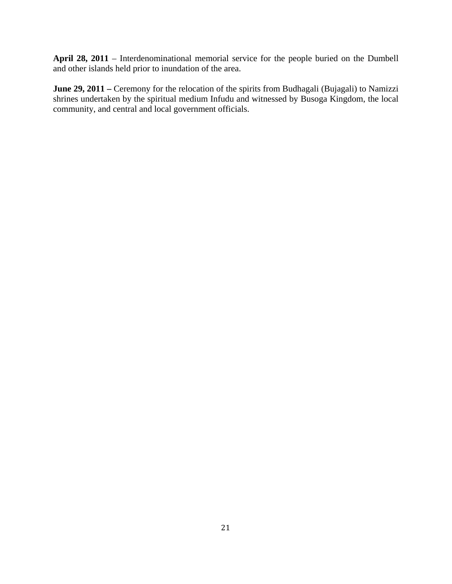**April 28, 2011** – Interdenominational memorial service for the people buried on the Dumbell and other islands held prior to inundation of the area.

**June 29, 2011 –** Ceremony for the relocation of the spirits from Budhagali (Bujagali) to Namizzi shrines undertaken by the spiritual medium Infudu and witnessed by Busoga Kingdom, the local community, and central and local government officials.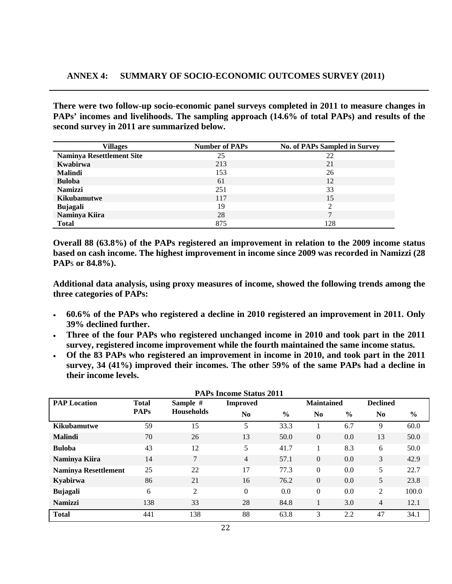**There were two follow-up socio-economic panel surveys completed in 2011 to measure changes in PAPs' incomes and livelihoods. The sampling approach (14.6% of total PAPs) and results of the second survey in 2011 are summarized below.**

| <b>Villages</b>                  | <b>Number of PAPs</b> | <b>No. of PAPs Sampled in Survey</b> |
|----------------------------------|-----------------------|--------------------------------------|
| <b>Naminya Resettlement Site</b> | 25                    | 22                                   |
| Kwabirwa                         | 213                   | 21                                   |
| <b>Malindi</b>                   | 153                   | 26                                   |
| <b>Buloba</b>                    | 61                    | 12                                   |
| <b>Namizzi</b>                   | 251                   | 33                                   |
| <b>Kikubamutwe</b>               | 117                   | 15                                   |
| <b>Bujagali</b>                  | 19                    |                                      |
| Naminya Kiira                    | 28                    | −                                    |
| <b>Total</b>                     | 875                   | 128                                  |

**Overall 88 (63.8%) of the PAPs registered an improvement in relation to the 2009 income status based on cash income. The highest improvement in income since 2009 was recorded in Namizzi (28 PAP**s **or 84.8%).** 

**Additional data analysis, using proxy measures of income, showed the following trends among the three categories of PAPs:**

- **60.6% of the PAPs who registered a decline in 2010 registered an improvement in 2011. Only 39% declined further.**
- **Three of the four PAPs who registered unchanged income in 2010 and took part in the 2011 survey, registered income improvement while the fourth maintained the same income status.**
- **Of the 83 PAPs who registered an improvement in income in 2010, and took part in the 2011 survey, 34 (41%) improved their incomes. The other 59% of the same PAPs had a decline in their income levels.**

| <b>PAPs Income Status 2011</b> |                             |                               |                 |               |                   |               |                 |       |
|--------------------------------|-----------------------------|-------------------------------|-----------------|---------------|-------------------|---------------|-----------------|-------|
| <b>PAP Location</b>            | <b>Total</b><br><b>PAPs</b> | Sample #<br><b>Households</b> | <b>Improved</b> |               | <b>Maintained</b> |               | <b>Declined</b> |       |
|                                |                             |                               | No              | $\frac{6}{9}$ | No                | $\frac{6}{9}$ | N <sub>0</sub>  | $\%$  |
| <b>Kikubamutwe</b>             | 59                          | 15                            | 5               | 33.3          |                   | 6.7           | 9               | 60.0  |
| <b>Malindi</b>                 | 70                          | 26                            | 13              | 50.0          | $\Omega$          | 0.0           | 13              | 50.0  |
| <b>Buloba</b>                  | 43                          | 12                            | 5               | 41.7          |                   | 8.3           | 6               | 50.0  |
| Naminya Kiira                  | 14                          | 7                             | $\overline{4}$  | 57.1          | $\Omega$          | 0.0           | 3               | 42.9  |
| <b>Naminya Resettlement</b>    | 25                          | 22                            | 17              | 77.3          | $\Omega$          | 0.0           | 5               | 22.7  |
| Kyabirwa                       | 86                          | 21                            | 16              | 76.2          | $\Omega$          | 0.0           | 5               | 23.8  |
| Bujagali                       | 6                           | 2                             | $\Omega$        | 0.0           | $\Omega$          | 0.0           | 2               | 100.0 |
| <b>Namizzi</b>                 | 138                         | 33                            | 28              | 84.8          |                   | 3.0           | $\overline{4}$  | 12.1  |
| <b>Total</b>                   | 441                         | 138                           | 88              | 63.8          | 3                 | 2.2           | 47              | 34.1  |